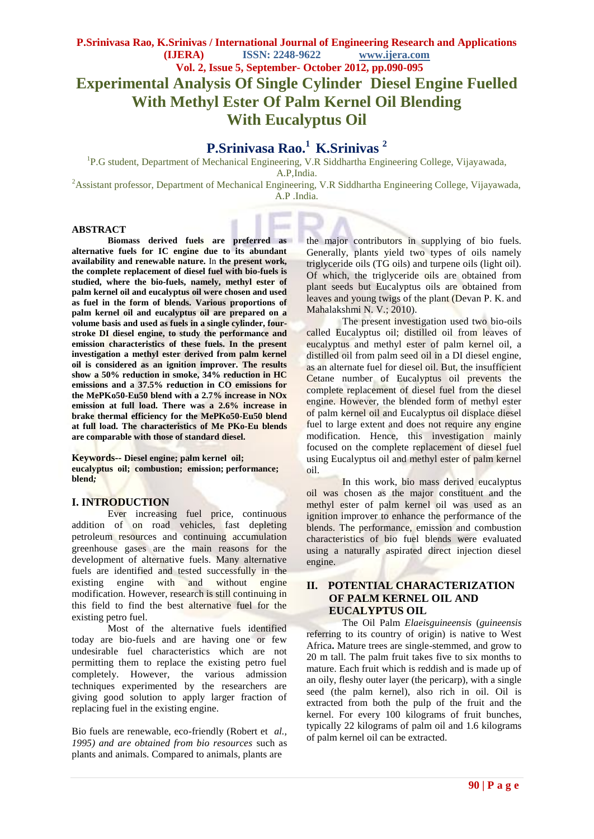# **Experimental Analysis Of Single Cylinder Diesel Engine Fuelled With Methyl Ester Of Palm Kernel Oil Blending With Eucalyptus Oil**

## **P.Srinivasa Rao.<sup>1</sup>K.Srinivas <sup>2</sup>**

<sup>1</sup>P.G student, Department of Mechanical Engineering, V.R Siddhartha Engineering College, Vijayawada,

A.P,India.

<sup>2</sup>Assistant professor, Department of Mechanical Engineering, V.R Siddhartha Engineering College, Vijayawada, A.P .India.

## **ABSTRACT**

**Biomass derived fuels are preferred as alternative fuels for IC engine due to its abundant availability and renewable nature.** In **the present work, the complete replacement of diesel fuel with bio-fuels is studied, where the bio-fuels, namely, methyl ester of palm kernel oil and eucalyptus oil were chosen and used as fuel in the form of blends. Various proportions of palm kernel oil and eucalyptus oil are prepared on a volume basis and used as fuels in a single cylinder, fourstroke DI diesel engine, to study the performance and emission characteristics of these fuels. In the present investigation a methyl ester derived from palm kernel oil is considered as an ignition improver. The results show a 50% reduction in smoke, 34% reduction in HC emissions and a 37.5% reduction in CO emissions for the MePKo50-Eu50 blend with a 2.7% increase in NOx emission at full load. There was a 2.6% increase in brake thermal efficiency for the MePKo50-Eu50 blend at full load. The characteristics of Me PKo-Eu blends are comparable with those of standard diesel.**

**Keywords-- Diesel engine; palm kernel oil; eucalyptus oil; combustion; emission; performance; blend***;* 

#### **I. INTRODUCTION**

Ever increasing fuel price, continuous addition of on road vehicles, fast depleting petroleum resources and continuing accumulation greenhouse gases are the main reasons for the development of alternative fuels. Many alternative fuels are identified and tested successfully in the existing engine with and without engine modification. However, research is still continuing in this field to find the best alternative fuel for the existing petro fuel.

Most of the alternative fuels identified today are bio-fuels and are having one or few undesirable fuel characteristics which are not permitting them to replace the existing petro fuel completely. However, the various admission techniques experimented by the researchers are giving good solution to apply larger fraction of replacing fuel in the existing engine.

Bio fuels are renewable, eco-friendly (Robert et *al., 1995) and are obtained from bio resources* such as plants and animals. Compared to animals, plants are

the major contributors in supplying of bio fuels. Generally, plants yield two types of oils namely triglyceride oils (TG oils) and turpene oils (light oil). Of which, the triglyceride oils are obtained from plant seeds but Eucalyptus oils are obtained from leaves and young twigs of the plant (Devan P. K. and Mahalakshmi N. V.; 2010).

The present investigation used two bio-oils called Eucalyptus oil; distilled oil from leaves of eucalyptus and methyl ester of palm kernel oil, a distilled oil from palm seed oil in a DI diesel engine, as an alternate fuel for diesel oil. But, the insufficient Cetane number of Eucalyptus oil prevents the complete replacement of diesel fuel from the diesel engine. However, the blended form of methyl ester of palm kernel oil and Eucalyptus oil displace diesel fuel to large extent and does not require any engine modification. Hence, this investigation mainly focused on the complete replacement of diesel fuel using Eucalyptus oil and methyl ester of palm kernel oil.

In this work, bio mass derived eucalyptus oil was chosen as the major constituent and the methyl ester of palm kernel oil was used as an ignition improver to enhance the performance of the blends. The performance, emission and combustion characteristics of bio fuel blends were evaluated using a naturally aspirated direct injection diesel engine.

## **II. POTENTIAL CHARACTERIZATION OF PALM KERNEL OIL AND EUCALYPTUS OIL**

The Oil Palm *Elaeisguineensis* (*guineensis* referring to its country of origin) is native to West Africa**.** Mature trees are single-stemmed, and grow to 20 m tall. The palm fruit takes five to six months to mature. Each fruit which is reddish and is made up of an oily, fleshy outer layer (the pericarp), with a single seed (the palm kernel), also rich in oil. Oil is extracted from both the pulp of the fruit and the kernel. For every 100 kilograms of fruit bunches, typically 22 kilograms of palm oil and 1.6 kilograms of palm kernel oil can be extracted.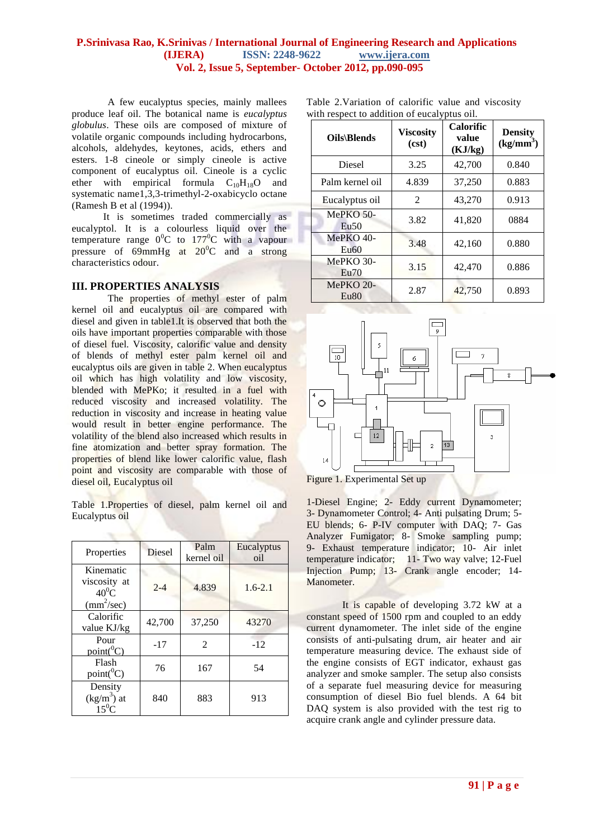A few eucalyptus species, mainly mallees produce leaf oil. The botanical name is *eucalyptus globulus*. These oils are composed of mixture of volatile organic compounds including hydrocarbons, alcohols, aldehydes, keytones, acids, ethers and esters. 1-8 cineole or simply cineole is active component of eucalyptus oil. Cineole is a cyclic ether with empirical formula  $C_{10}H_{18}O$  and systematic name1,3,3-trimethyl-2-oxabicyclo octane (Ramesh B et al (1994)).

It is sometimes traded commercially as eucalyptol. It is a colourless liquid over the temperature range  $0^0C$  to  $177^0C$  with a vapour pressure of  $69$ mmHg at  $20^0$ C and a strong characteristics odour.

## **III. PROPERTIES ANALYSIS**

The properties of methyl ester of palm kernel oil and eucalyptus oil are compared with diesel and given in table1.It is observed that both the oils have important properties comparable with those of diesel fuel. Viscosity, calorific value and density of blends of methyl ester palm kernel oil and eucalyptus oils are given in table 2. When eucalyptus oil which has high volatility and low viscosity, blended with MePKo; it resulted in a fuel with reduced viscosity and increased volatility. The reduction in viscosity and increase in heating value would result in better engine performance. The volatility of the blend also increased which results in fine atomization and better spray formation. The properties of blend like lower calorific value, flash point and viscosity are comparable with those of diesel oil, Eucalyptus oil

Table 1.Properties of diesel, palm kernel oil and Eucalyptus oil

| Properties                                                          | <b>Diesel</b> | Palm<br>kernel oil | Eucalyptus<br>oil |
|---------------------------------------------------------------------|---------------|--------------------|-------------------|
| Kinematic<br>viscosity at<br>$40^0$ C<br>$\text{(mm}^2/\text{sec})$ | $2 - 4$       | 4.839              | $1.6 - 2.1$       |
| Calorific<br>value KJ/kg                                            | 42,700        | 37,250             | 43270             |
| Pour<br>$point(^0C)$                                                | $-17$         | 2                  | $-12$             |
| Flash<br>$point(^{0}C)$                                             | 76            | 167                | 54                |
| Density<br>$(kg/m3)$ at<br>$15^0$ C                                 | 840           | 883                | 913               |

Table 2.Variation of calorific value and viscosity with respect to addition of eucalyptus oil.

| Oils\Blends                     | <b>Viscosity</b><br>(cst) | <b>Calorific</b><br>value<br>(KJ/kg) | <b>Density</b><br>$(kg/mm^3)$ |
|---------------------------------|---------------------------|--------------------------------------|-------------------------------|
| Diesel                          | 3.25                      | 42,700                               | 0.840                         |
| Palm kernel oil                 | 4.839                     | 37,250                               | 0.883                         |
| Eucalyptus oil                  | $\mathfrak{D}$            | 43,270                               | 0.913                         |
| MePKO $50-$<br>Eu <sub>50</sub> | 3.82                      | 41,820                               | 0884                          |
| $MePKO$ 40-<br>Eu60             | 3.48                      | 42,160                               | 0.880                         |
| $MePKO$ 30-<br>Eu70             | 3.15                      | 42,470                               | 0.886                         |
| $MePKO 20-$<br>Eu80             | 2.87                      | 42,750                               | 0.893                         |



Figure 1. Experimental Set up

1-Diesel Engine; 2- Eddy current Dynamometer; 3- Dynamometer Control; 4- Anti pulsating Drum; 5- EU blends; 6- P-IV computer with DAQ; 7- Gas Analyzer Fumigator; 8- Smoke sampling pump; 9- Exhaust temperature indicator; 10- Air inlet temperature indicator; 11- Two way valve; 12-Fuel Injection Pump; 13- Crank angle encoder; 14- Manometer.

It is capable of developing 3.72 kW at a constant speed of 1500 rpm and coupled to an eddy current dynamometer. The inlet side of the engine consists of anti-pulsating drum, air heater and air temperature measuring device. The exhaust side of the engine consists of EGT indicator, exhaust gas analyzer and smoke sampler. The setup also consists of a separate fuel measuring device for measuring consumption of diesel Bio fuel blends. A 64 bit DAQ system is also provided with the test rig to acquire crank angle and cylinder pressure data.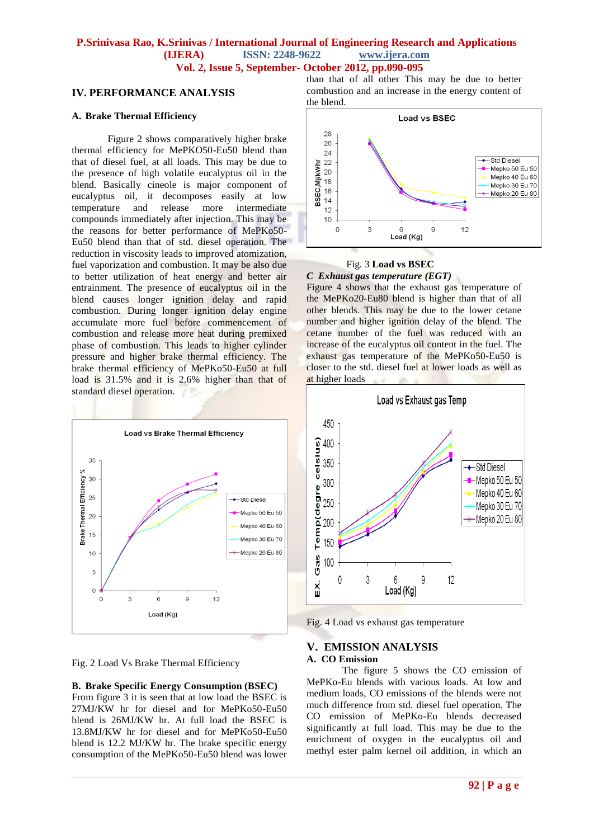## **IV. PERFORMANCE ANALYSIS**

#### **A. Brake Thermal Efficiency**

Figure 2 shows comparatively higher brake thermal efficiency for MePKO50-Eu50 blend than that of diesel fuel, at all loads. This may be due to the presence of high volatile eucalyptus oil in the blend. Basically cineole is major component of eucalyptus oil, it decomposes easily at low<br>temperature and release more intermediate temperature and release more intermediate compounds immediately after injection. This may be the reasons for better performance of MePKo50- Eu50 blend than that of std. diesel operation. The reduction in viscosity leads to improved atomization, fuel vaporization and combustion. It may be also due to better utilization of heat energy and better air entrainment. The presence of eucalyptus oil in the blend causes longer ignition delay and rapid combustion. During longer ignition delay engine accumulate more fuel before commencement of combustion and release more heat during premixed phase of combustion. This leads to higher cylinder pressure and higher brake thermal efficiency. The brake thermal efficiency of MePKo50-Eu50 at full load is 31.5% and it is 2.6% higher than that of standard diesel operation.



Fig. 2 Load Vs Brake Thermal Efficiency

#### **B. Brake Specific Energy Consumption (BSEC)**

From figure 3 it is seen that at low load the BSEC is 27MJ/KW hr for diesel and for MePKo50-Eu50 blend is 26MJ/KW hr. At full load the BSEC is 13.8MJ/KW hr for diesel and for MePKo50-Eu50 blend is 12.2 MJ/KW hr. The brake specific energy consumption of the MePKo50-Eu50 blend was lower than that of all other This may be due to better combustion and an increase in the energy content of the blend.



#### Fig. 3 **Load vs BSEC** *C Exhaust gas temperature (EGT)*

Figure 4 shows that the exhaust gas temperature of the MePKo20-Eu80 blend is higher than that of all other blends. This may be due to the lower cetane number and higher ignition delay of the blend. The cetane number of the fuel was reduced with an increase of the eucalyptus oil content in the fuel. The exhaust gas temperature of the MePKo50-Eu50 is closer to the std. diesel fuel at lower loads as well as at higher loads



Fig. 4 Load vs exhaust gas temperature

#### **V. EMISSION ANALYSIS**

#### **A. CO Emission**

The figure 5 shows the CO emission of MePKo-Eu blends with various loads. At low and medium loads, CO emissions of the blends were not much difference from std. diesel fuel operation. The CO emission of MePKo-Eu blends decreased significantly at full load. This may be due to the enrichment of oxygen in the eucalyptus oil and methyl ester palm kernel oil addition, in which an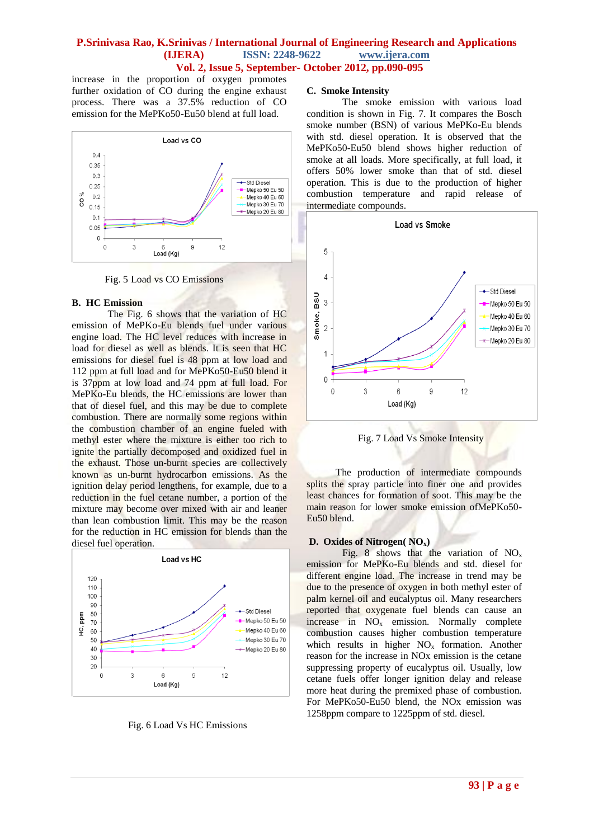increase in the proportion of oxygen promotes further oxidation of CO during the engine exhaust process. There was a 37.5% reduction of CO emission for the MePKo50-Eu50 blend at full load.



Fig. 5 Load vs CO Emissions

#### **B. HC Emission**

The Fig. 6 shows that the variation of HC emission of MePKo-Eu blends fuel under various engine load. The HC level reduces with increase in load for diesel as well as blends. It is seen that HC emissions for diesel fuel is 48 ppm at low load and 112 ppm at full load and for MePKo50-Eu50 blend it is 37ppm at low load and 74 ppm at full load. For MePKo-Eu blends, the HC emissions are lower than that of diesel fuel, and this may be due to complete combustion. There are normally some regions within the combustion chamber of an engine fueled with methyl ester where the mixture is either too rich to ignite the partially decomposed and oxidized fuel in the exhaust. Those un-burnt species are collectively known as un-burnt hydrocarbon emissions. As the ignition delay period lengthens, for example, due to a reduction in the fuel cetane number, a portion of the mixture may become over mixed with air and leaner than lean combustion limit. This may be the reason for the reduction in HC emission for blends than the diesel fuel operation.



Fig. 6 Load Vs HC Emissions

#### **C. Smoke Intensity**

The smoke emission with various load condition is shown in Fig. 7. It compares the Bosch smoke number (BSN) of various MePKo-Eu blends with std. diesel operation. It is observed that the MePKo50-Eu50 blend shows higher reduction of smoke at all loads. More specifically, at full load, it offers 50% lower smoke than that of std. diesel operation. This is due to the production of higher combustion temperature and rapid release of intermediate compounds.



Fig. 7 Load Vs Smoke Intensity

 The production of intermediate compounds splits the spray particle into finer one and provides least chances for formation of soot. This may be the main reason for lower smoke emission ofMePKo50- Eu50 blend.

#### **D. Oxides of Nitrogen( NOx)**

Fig. 8 shows that the variation of  $NO<sub>x</sub>$ emission for MePKo-Eu blends and std. diesel for different engine load. The increase in trend may be due to the presence of oxygen in both methyl ester of palm kernel oil and eucalyptus oil. Many researchers reported that oxygenate fuel blends can cause an increase in  $NO<sub>x</sub>$  emission. Normally complete combustion causes higher combustion temperature which results in higher  $NO<sub>x</sub>$  formation. Another reason for the increase in NOx emission is the cetane suppressing property of eucalyptus oil. Usually, low cetane fuels offer longer ignition delay and release more heat during the premixed phase of combustion. For MePKo50-Eu50 blend, the NOx emission was 1258ppm compare to 1225ppm of std. diesel.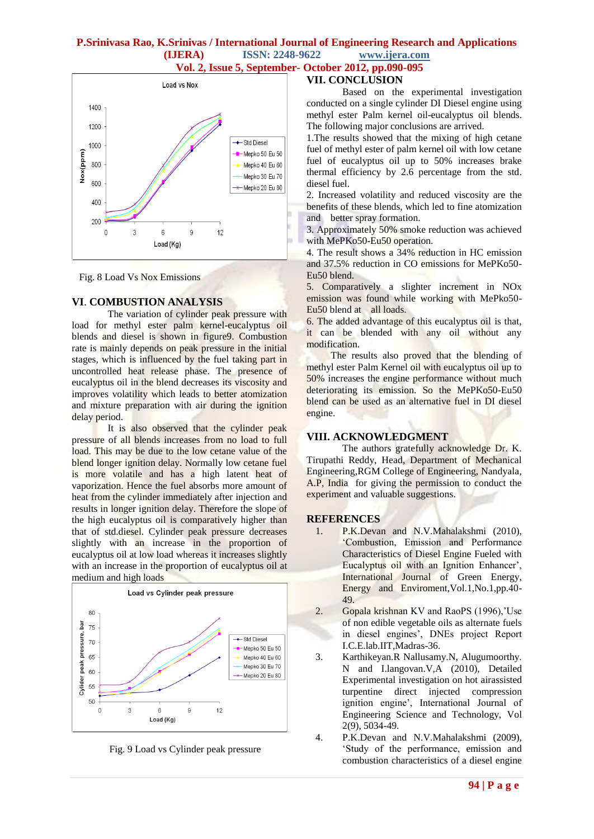## **P.Srinivasa Rao, K.Srinivas / International Journal of Engineering Research and Applications (IJERA) ISSN: 2248-9622 www.ijera.com**

 **Vol. 2, Issue 5, September- October 2012, pp.090-095**

#### Load vs Nox 1400 1200 ← Std Diesel 1000 Nox(ppm) - Mepko 50 Eu 50 800 Mepko 40 Eu 60 Mepko 30 Eu 70 600 Mepko 20 Eu 80 400 200  $\theta$  $\overline{3}$  $6$  $\mathbf{q}$  $12$ Load (Kg)

Fig. 8 Load Vs Nox Emissions

## **VI**. **COMBUSTION ANALYSIS**

The variation of cylinder peak pressure with load for methyl ester palm kernel-eucalyptus oil blends and diesel is shown in figure9. Combustion rate is mainly depends on peak pressure in the initial stages, which is influenced by the fuel taking part in uncontrolled heat release phase. The presence of eucalyptus oil in the blend decreases its viscosity and improves volatility which leads to better atomization and mixture preparation with air during the ignition delay period.

It is also observed that the cylinder peak pressure of all blends increases from no load to full load. This may be due to the low cetane value of the blend longer ignition delay. Normally low cetane fuel is more volatile and has a high latent heat of vaporization. Hence the fuel absorbs more amount of heat from the cylinder immediately after injection and results in longer ignition delay. Therefore the slope of the high eucalyptus oil is comparatively higher than that of std.diesel. Cylinder peak pressure decreases slightly with an increase in the proportion of eucalyptus oil at low load whereas it increases slightly with an increase in the proportion of eucalyptus oil at medium and high loads



Fig. 9 Load vs Cylinder peak pressure

## **VII. CONCLUSION**

Based on the experimental investigation conducted on a single cylinder DI Diesel engine using methyl ester Palm kernel oil-eucalyptus oil blends. The following major conclusions are arrived.

1.The results showed that the mixing of high cetane fuel of methyl ester of palm kernel oil with low cetane fuel of eucalyptus oil up to 50% increases brake thermal efficiency by 2.6 percentage from the std. diesel fuel.

2. Increased volatility and reduced viscosity are the benefits of these blends, which led to fine atomization and better spray formation.

3. Approximately 50% smoke reduction was achieved with MePKo50-Eu50 operation.

4. The result shows a 34% reduction in HC emission and 37.5% reduction in CO emissions for MePKo50- Eu50 blend.

5. Comparatively a slighter increment in NOx emission was found while working with MePko50- Eu50 blend at all loads.

6. The added advantage of this eucalyptus oil is that, it can be blended with any oil without any modification.

 The results also proved that the blending of methyl ester Palm Kernel oil with eucalyptus oil up to 50% increases the engine performance without much deteriorating its emission. So the MePKo50-Eu50 blend can be used as an alternative fuel in DI diesel engine.

## **VIII. ACKNOWLEDGMENT**

The authors gratefully acknowledge Dr. K. Tirupathi Reddy, Head, Department of Mechanical Engineering,RGM College of Engineering, Nandyala, A.P, India for giving the permission to conduct the experiment and valuable suggestions.

## **REFERENCES**

- 1. P.K.Devan and N.V.Mahalakshmi (2010), 'Combustion, Emission and Performance Characteristics of Diesel Engine Fueled with Eucalyptus oil with an Ignition Enhancer', International Journal of Green Energy, Energy and Enviroment,Vol.1,No.1,pp.40- 49.
- 2. Gopala krishnan KV and RaoPS (1996),'Use of non edible vegetable oils as alternate fuels in diesel engines', DNEs project Report I.C.E.lab.IIT,Madras-36.
- 3. Karthikeyan.R Nallusamy.N, Alugumoorthy. N and I.langovan.V,A (2010), Detailed Experimental investigation on hot airassisted turpentine direct injected compression ignition engine', International Journal of Engineering Science and Technology, Vol 2(9), 5034-49.
- 4. P.K.Devan and N.V.Mahalakshmi (2009), 'Study of the performance, emission and combustion characteristics of a diesel engine